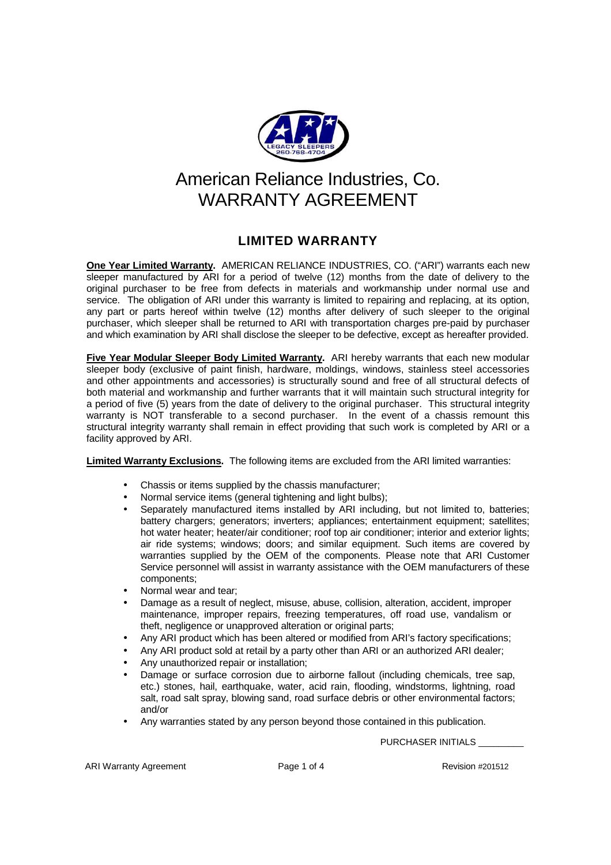

## American Reliance Industries, Co. WARRANTY AGRFFMENT

## **LIMITED WARRANTY**

**One Year Limited Warranty.** AMERICAN RELIANCE INDUSTRIES, CO. ("ARI") warrants each new sleeper manufactured by ARI for a period of twelve (12) months from the date of delivery to the original purchaser to be free from defects in materials and workmanship under normal use and service. The obligation of ARI under this warranty is limited to repairing and replacing, at its option, any part or parts hereof within twelve (12) months after delivery of such sleeper to the original purchaser, which sleeper shall be returned to ARI with transportation charges pre-paid by purchaser and which examination by ARI shall disclose the sleeper to be defective, except as hereafter provided.

**Five Year Modular Sleeper Body Limited Warranty.** ARI hereby warrants that each new modular sleeper body (exclusive of paint finish, hardware, moldings, windows, stainless steel accessories and other appointments and accessories) is structurally sound and free of all structural defects of both material and workmanship and further warrants that it will maintain such structural integrity for a period of five (5) years from the date of delivery to the original purchaser. This structural integrity warranty is NOT transferable to a second purchaser. In the event of a chassis remount this structural integrity warranty shall remain in effect providing that such work is completed by ARI or a facility approved by ARI.

**Limited Warranty Exclusions.** The following items are excluded from the ARI limited warranties:

- Chassis or items supplied by the chassis manufacturer;
- Normal service items (general tightening and light bulbs);
- Separately manufactured items installed by ARI including, but not limited to, batteries; battery chargers; generators; inverters; appliances; entertainment equipment; satellites; hot water heater; heater/air conditioner; roof top air conditioner; interior and exterior lights; air ride systems; windows; doors; and similar equipment. Such items are covered by warranties supplied by the OEM of the components. Please note that ARI Customer Service personnel will assist in warranty assistance with the OEM manufacturers of these components;
- Normal wear and tear;
- Damage as a result of neglect, misuse, abuse, collision, alteration, accident, improper maintenance, improper repairs, freezing temperatures, off road use, vandalism or theft, negligence or unapproved alteration or original parts;
- Any ARI product which has been altered or modified from ARI's factory specifications;
- Any ARI product sold at retail by a party other than ARI or an authorized ARI dealer;
- Any unauthorized repair or installation;
- Damage or surface corrosion due to airborne fallout (including chemicals, tree sap, etc.) stones, hail, earthquake, water, acid rain, flooding, windstorms, lightning, road salt, road salt spray, blowing sand, road surface debris or other environmental factors; and/or
- Any warranties stated by any person beyond those contained in this publication.

PURCHASER INITIALS

ARI Warranty Agreement **Page 1 of 4** Revision #201512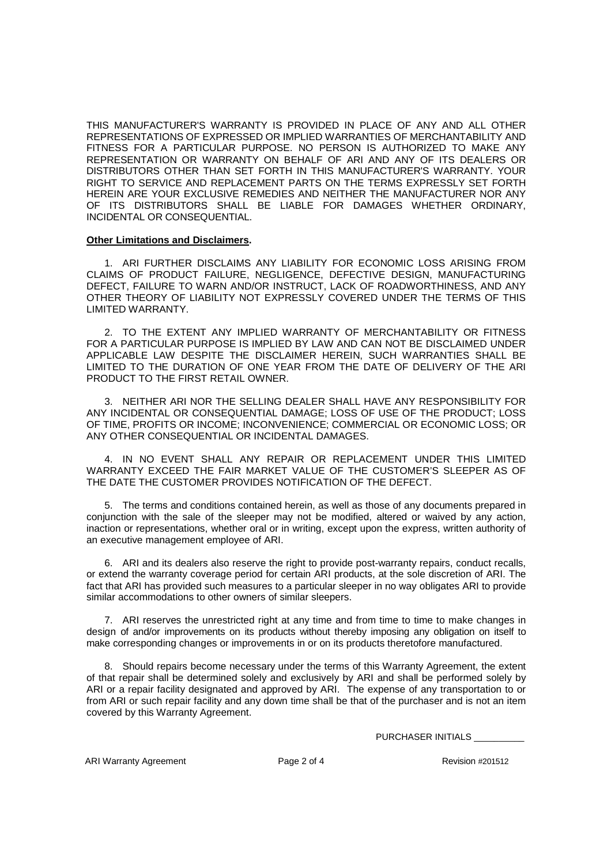THIS MANUFACTURER'S WARRANTY IS PROVIDED IN PLACE OF ANY AND ALL OTHER REPRESENTATIONS OF EXPRESSED OR IMPLIED WARRANTIES OF MERCHANTABILITY AND FITNESS FOR A PARTICULAR PURPOSE. NO PERSON IS AUTHORIZED TO MAKE ANY REPRESENTATION OR WARRANTY ON BEHALF OF ARI AND ANY OF ITS DEALERS OR DISTRIBUTORS OTHER THAN SET FORTH IN THIS MANUFACTURER'S WARRANTY. YOUR RIGHT TO SERVICE AND REPLACEMENT PARTS ON THE TERMS EXPRESSLY SET FORTH HEREIN ARE YOUR EXCLUSIVE REMEDIES AND NEITHER THE MANUFACTURER NOR ANY OF ITS DISTRIBUTORS SHALL BE LIABLE FOR DAMAGES WHETHER ORDINARY, INCIDENTAL OR CONSEQUENTIAL.

## **Other Limitations and Disclaimers.**

1. ARI FURTHER DISCLAIMS ANY LIABILITY FOR ECONOMIC LOSS ARISING FROM CLAIMS OF PRODUCT FAILURE, NEGLIGENCE, DEFECTIVE DESIGN, MANUFACTURING DEFECT, FAILURE TO WARN AND/OR INSTRUCT, LACK OF ROADWORTHINESS, AND ANY OTHER THEORY OF LIABILITY NOT EXPRESSLY COVERED UNDER THE TERMS OF THIS LIMITED WARRANTY.

2. TO THE EXTENT ANY IMPLIED WARRANTY OF MERCHANTABILITY OR FITNESS FOR A PARTICULAR PURPOSE IS IMPLIED BY LAW AND CAN NOT BE DISCLAIMED UNDER APPLICABLE LAW DESPITE THE DISCLAIMER HEREIN, SUCH WARRANTIES SHALL BE LIMITED TO THE DURATION OF ONE YEAR FROM THE DATE OF DELIVERY OF THE ARI PRODUCT TO THE FIRST RETAIL OWNER.

3. NEITHER ARI NOR THE SELLING DEALER SHALL HAVE ANY RESPONSIBILITY FOR ANY INCIDENTAL OR CONSEQUENTIAL DAMAGE; LOSS OF USE OF THE PRODUCT; LOSS OF TIME, PROFITS OR INCOME; INCONVENIENCE; COMMERCIAL OR ECONOMIC LOSS; OR ANY OTHER CONSEQUENTIAL OR INCIDENTAL DAMAGES.

4. IN NO EVENT SHALL ANY REPAIR OR REPLACEMENT UNDER THIS LIMITED WARRANTY EXCEED THE FAIR MARKET VALUE OF THE CUSTOMER'S SLEEPER AS OF THE DATE THE CUSTOMER PROVIDES NOTIFICATION OF THE DEFECT.

5. The terms and conditions contained herein, as well as those of any documents prepared in conjunction with the sale of the sleeper may not be modified, altered or waived by any action, inaction or representations, whether oral or in writing, except upon the express, written authority of an executive management employee of ARI.

6. ARI and its dealers also reserve the right to provide post-warranty repairs, conduct recalls, or extend the warranty coverage period for certain ARI products, at the sole discretion of ARI. The fact that ARI has provided such measures to a particular sleeper in no way obligates ARI to provide similar accommodations to other owners of similar sleepers.

7. ARI reserves the unrestricted right at any time and from time to time to make changes in design of and/or improvements on its products without thereby imposing any obligation on itself to make corresponding changes or improvements in or on its products theretofore manufactured.

8. Should repairs become necessary under the terms of this Warranty Agreement, the extent of that repair shall be determined solely and exclusively by ARI and shall be performed solely by ARI or a repair facility designated and approved by ARI. The expense of any transportation to or from ARI or such repair facility and any down time shall be that of the purchaser and is not an item covered by this Warranty Agreement.

PURCHASER INITIALS \_\_\_\_\_\_\_\_\_\_

ARI Warranty Agreement **Page 2 of 4** Revision #201512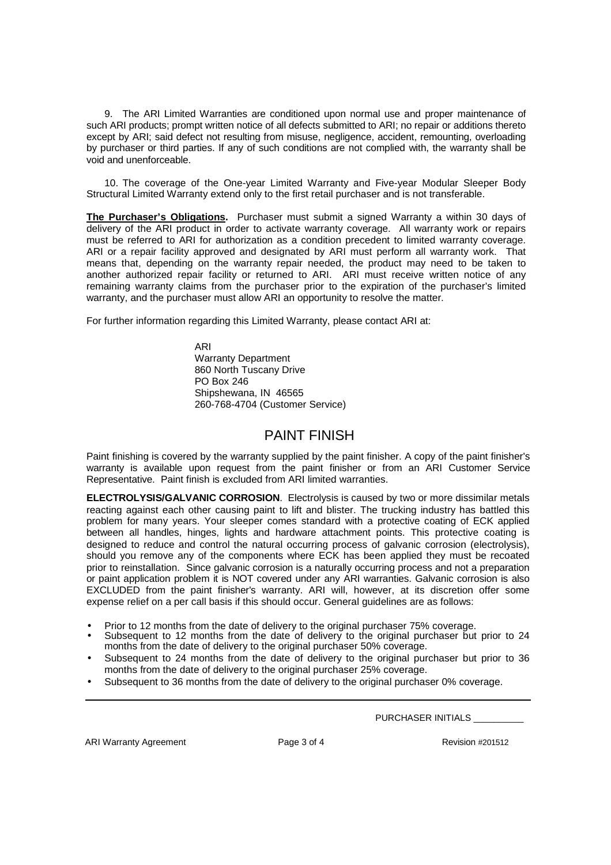9. The ARI Limited Warranties are conditioned upon normal use and proper maintenance of such ARI products; prompt written notice of all defects submitted to ARI; no repair or additions thereto except by ARI; said defect not resulting from misuse, negligence, accident, remounting, overloading by purchaser or third parties. If any of such conditions are not complied with, the warranty shall be void and unenforceable.

10. The coverage of the One-year Limited Warranty and Five-year Modular Sleeper Body Structural Limited Warranty extend only to the first retail purchaser and is not transferable.

**The Purchaser's Obligations.** Purchaser must submit a signed Warranty a within 30 days of delivery of the ARI product in order to activate warranty coverage. All warranty work or repairs must be referred to ARI for authorization as a condition precedent to limited warranty coverage. ARI or a repair facility approved and designated by ARI must perform all warranty work. That means that, depending on the warranty repair needed, the product may need to be taken to another authorized repair facility or returned to ARI. ARI must receive written notice of any remaining warranty claims from the purchaser prior to the expiration of the purchaser's limited warranty, and the purchaser must allow ARI an opportunity to resolve the matter.

For further information regarding this Limited Warranty, please contact ARI at:

ARI Warranty Department 860 North Tuscany Drive PO Box 246 Shipshewana, IN 46565 260-768-4704 (Customer Service)

## PAINT FINISH

Paint finishing is covered by the warranty supplied by the paint finisher. A copy of the paint finisher's warranty is available upon request from the paint finisher or from an ARI Customer Service Representative. Paint finish is excluded from ARI limited warranties.

**ELECTROLYSIS/GALVANIC CORROSION**. Electrolysis is caused by two or more dissimilar metals reacting against each other causing paint to lift and blister. The trucking industry has battled this problem for many years. Your sleeper comes standard with a protective coating of ECK applied between all handles, hinges, lights and hardware attachment points. This protective coating is designed to reduce and control the natural occurring process of galvanic corrosion (electrolysis), should you remove any of the components where ECK has been applied they must be recoated prior to reinstallation. Since galvanic corrosion is a naturally occurring process and not a preparation or paint application problem it is NOT covered under any ARI warranties. Galvanic corrosion is also EXCLUDED from the paint finisher's warranty. ARI will, however, at its discretion offer some expense relief on a per call basis if this should occur. General guidelines are as follows:

- Prior to 12 months from the date of delivery to the original purchaser 75% coverage.
- Subsequent to 12 months from the date of delivery to the original purchaser but prior to 24 months from the date of delivery to the original purchaser 50% coverage.
- Subsequent to 24 months from the date of delivery to the original purchaser but prior to 36 months from the date of delivery to the original purchaser 25% coverage.
- Subsequent to 36 months from the date of delivery to the original purchaser 0% coverage.

PURCHASER INITIALS \_\_\_\_\_\_\_\_\_\_

ARI Warranty Agreement **Page 3 of 4** Revision #201512